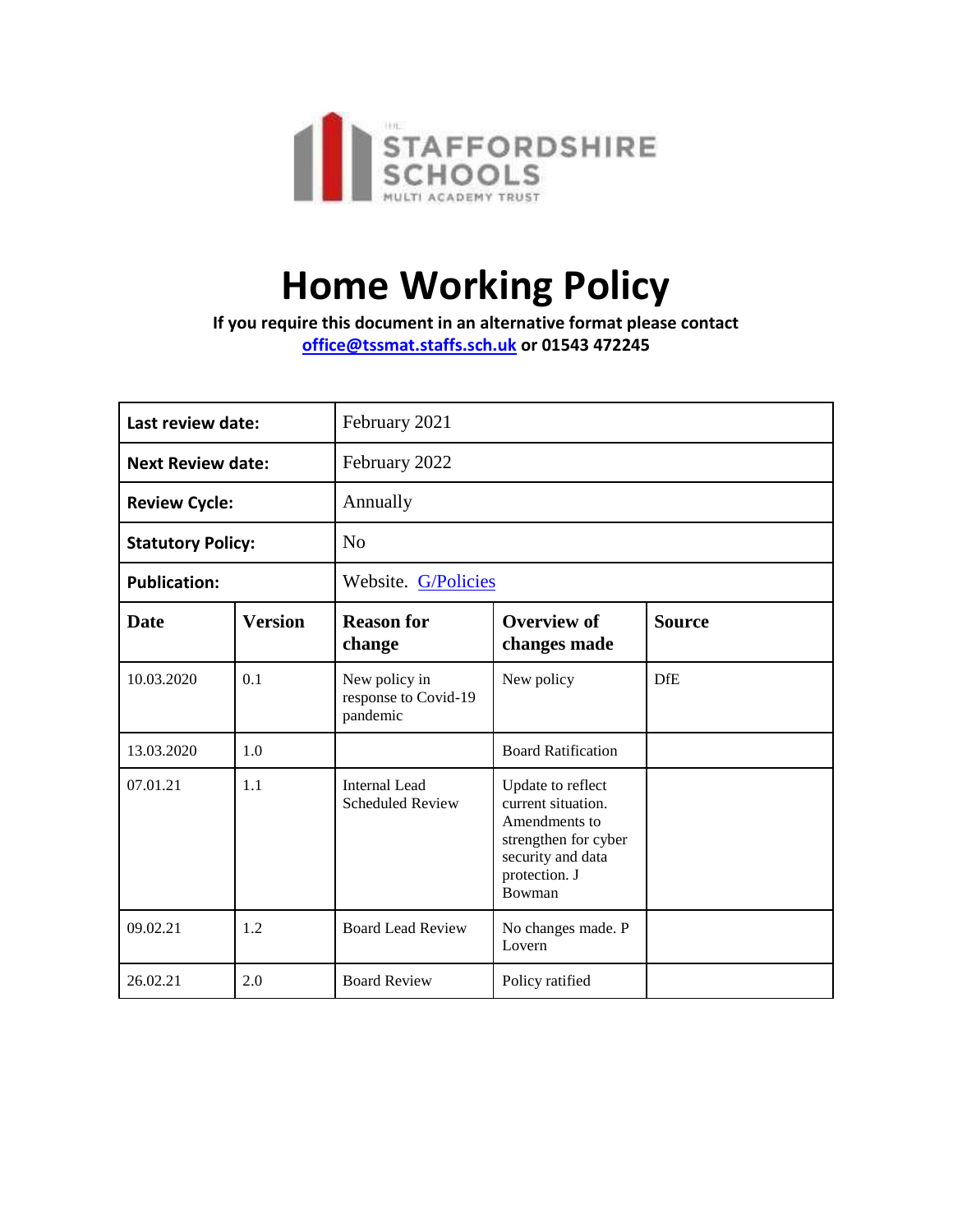

# **Home Working Policy**

**If you require this document in an alternative format please contact [office@tssmat.staffs.sch.uk](mailto:office@tssmat.staffs.sch.uk) or 01543 472245**

| Last review date:        |                | February 2021                                     |                                                                                                                                  |               |
|--------------------------|----------------|---------------------------------------------------|----------------------------------------------------------------------------------------------------------------------------------|---------------|
| <b>Next Review date:</b> |                | February 2022                                     |                                                                                                                                  |               |
| <b>Review Cycle:</b>     |                | Annually                                          |                                                                                                                                  |               |
| <b>Statutory Policy:</b> |                | No                                                |                                                                                                                                  |               |
| <b>Publication:</b>      |                | Website. G/Policies                               |                                                                                                                                  |               |
| <b>Date</b>              | <b>Version</b> | <b>Reason for</b><br>change                       | <b>Overview of</b><br>changes made                                                                                               | <b>Source</b> |
| 10.03.2020               | 0.1            | New policy in<br>response to Covid-19<br>pandemic | New policy                                                                                                                       | <b>DfE</b>    |
| 13.03.2020               | 1.0            |                                                   | <b>Board Ratification</b>                                                                                                        |               |
| 07.01.21                 | 1.1            | Internal Lead<br><b>Scheduled Review</b>          | Update to reflect<br>current situation.<br>Amendments to<br>strengthen for cyber<br>security and data<br>protection. J<br>Bowman |               |
| 09.02.21                 | 1.2            | <b>Board Lead Review</b>                          | No changes made. P<br>Lovern                                                                                                     |               |
| 26.02.21                 | 2.0            | <b>Board Review</b>                               | Policy ratified                                                                                                                  |               |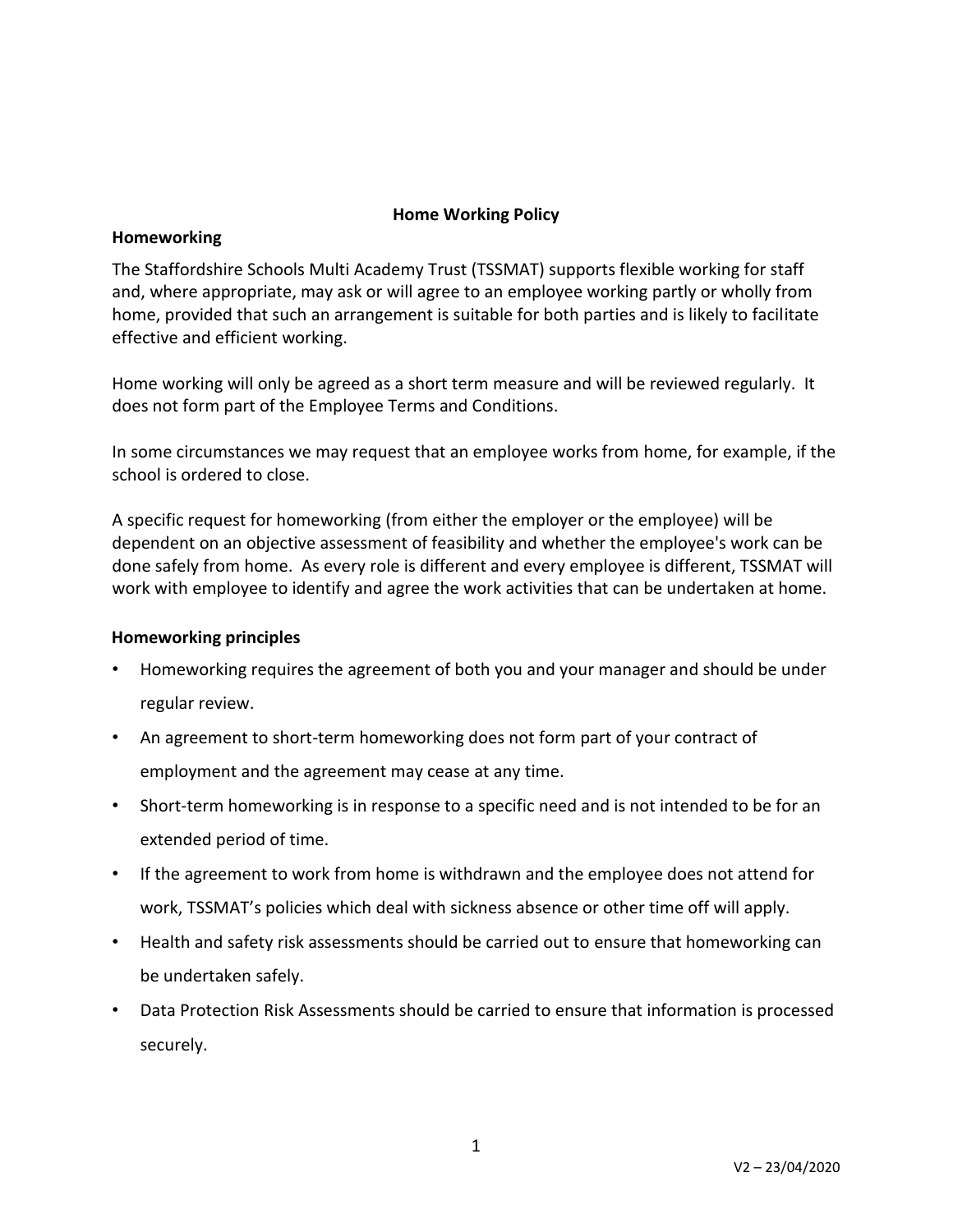## **Home Working Policy**

## **Homeworking**

The Staffordshire Schools Multi Academy Trust (TSSMAT) supports flexible working for staff and, where appropriate, may ask or will agree to an employee working partly or wholly from home, provided that such an arrangement is suitable for both parties and is likely to facilitate effective and efficient working.

Home working will only be agreed as a short term measure and will be reviewed regularly. It does not form part of the Employee Terms and Conditions.

In some circumstances we may request that an employee works from home, for example, if the school is ordered to close.

A specific request for homeworking (from either the employer or the employee) will be dependent on an objective assessment of feasibility and whether the employee's work can be done safely from home. As every role is different and every employee is different, TSSMAT will work with employee to identify and agree the work activities that can be undertaken at home.

## **Homeworking principles**

- Homeworking requires the agreement of both you and your manager and should be under regular review.
- An agreement to short-term homeworking does not form part of your contract of employment and the agreement may cease at any time.
- Short-term homeworking is in response to a specific need and is not intended to be for an extended period of time.
- If the agreement to work from home is withdrawn and the employee does not attend for work, TSSMAT's policies which deal with sickness absence or other time off will apply.
- Health and safety risk assessments should be carried out to ensure that homeworking can be undertaken safely.
- Data Protection Risk Assessments should be carried to ensure that information is processed securely.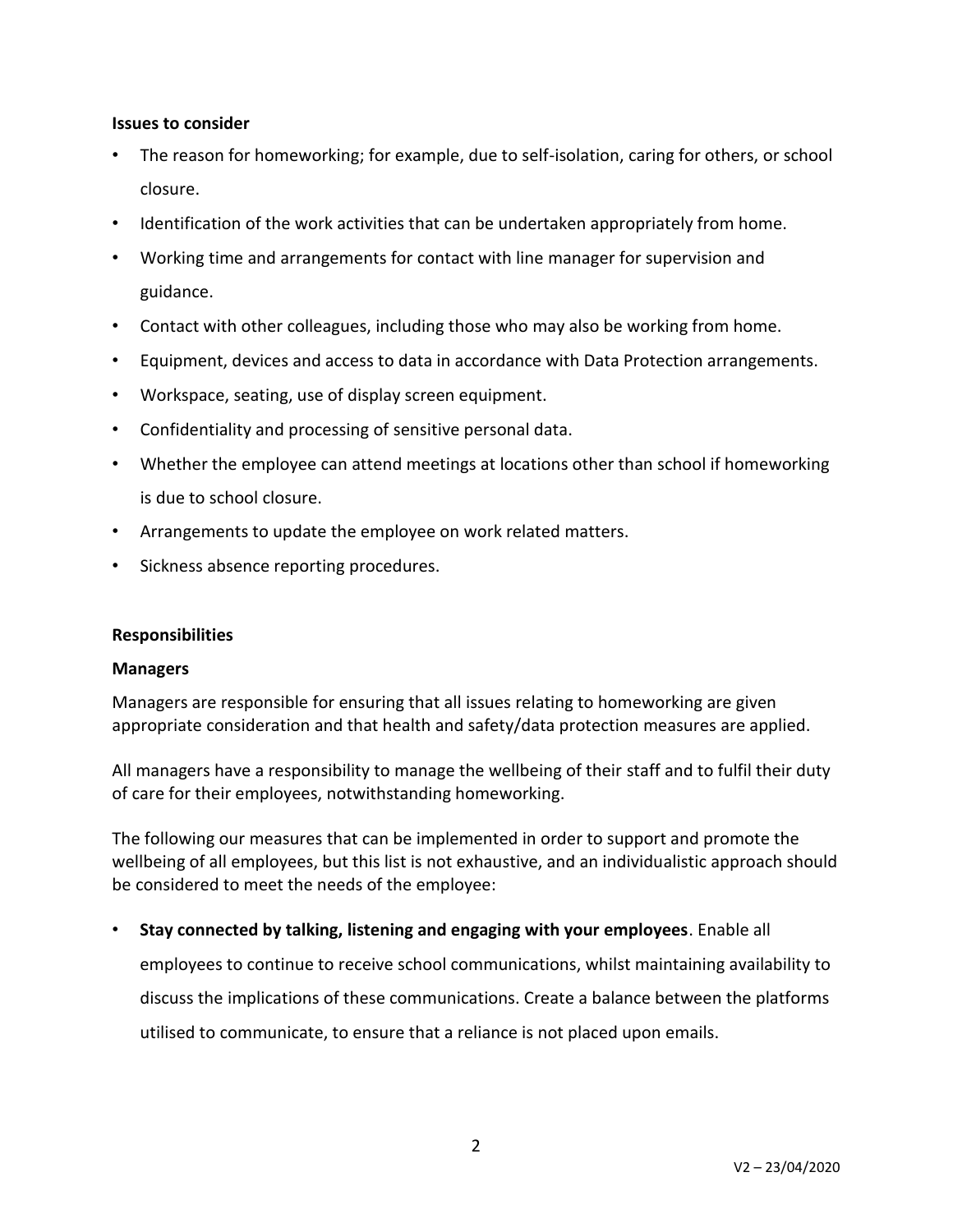### **Issues to consider**

- The reason for homeworking; for example, due to self-isolation, caring for others, or school closure.
- Identification of the work activities that can be undertaken appropriately from home.
- Working time and arrangements for contact with line manager for supervision and guidance.
- Contact with other colleagues, including those who may also be working from home.
- Equipment, devices and access to data in accordance with Data Protection arrangements.
- Workspace, seating, use of display screen equipment.
- Confidentiality and processing of sensitive personal data.
- Whether the employee can attend meetings at locations other than school if homeworking is due to school closure.
- Arrangements to update the employee on work related matters.
- Sickness absence reporting procedures.

### **Responsibilities**

#### **Managers**

Managers are responsible for ensuring that all issues relating to homeworking are given appropriate consideration and that health and safety/data protection measures are applied.

All managers have a responsibility to manage the wellbeing of their staff and to fulfil their duty of care for their employees, notwithstanding homeworking.

The following our measures that can be implemented in order to support and promote the wellbeing of all employees, but this list is not exhaustive, and an individualistic approach should be considered to meet the needs of the employee:

• **Stay connected by talking, listening and engaging with your employees**. Enable all employees to continue to receive school communications, whilst maintaining availability to discuss the implications of these communications. Create a balance between the platforms

utilised to communicate, to ensure that a reliance is not placed upon emails.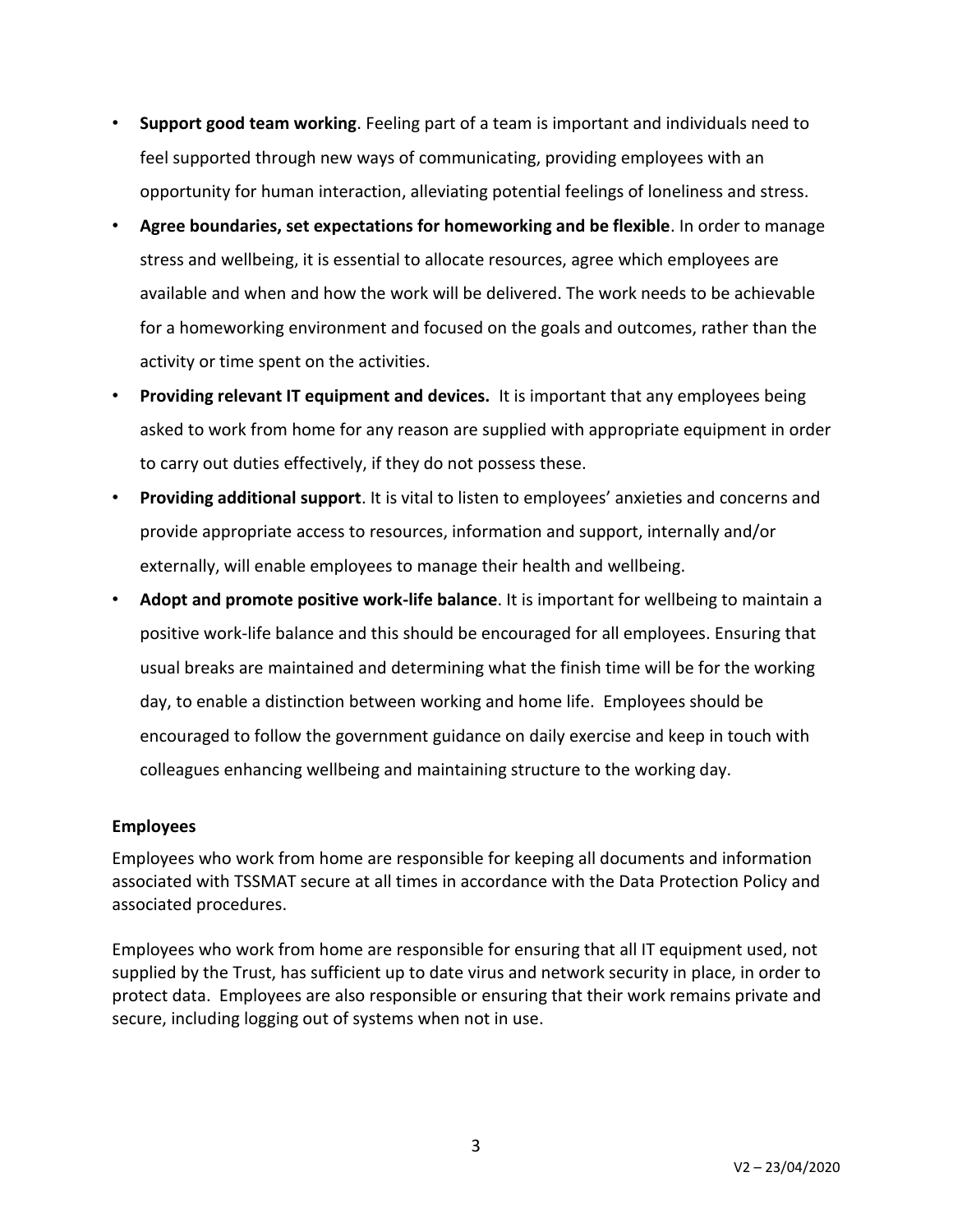- **Support good team working**. Feeling part of a team is important and individuals need to feel supported through new ways of communicating, providing employees with an opportunity for human interaction, alleviating potential feelings of loneliness and stress.
- **Agree boundaries, set expectations for homeworking and be flexible**. In order to manage stress and wellbeing, it is essential to allocate resources, agree which employees are available and when and how the work will be delivered. The work needs to be achievable for a homeworking environment and focused on the goals and outcomes, rather than the activity or time spent on the activities.
- **Providing relevant IT equipment and devices.** It is important that any employees being asked to work from home for any reason are supplied with appropriate equipment in order to carry out duties effectively, if they do not possess these.
- **Providing additional support**. It is vital to listen to employees' anxieties and concerns and provide appropriate access to resources, information and support, internally and/or externally, will enable employees to manage their health and wellbeing.
- **Adopt and promote positive work-life balance**. It is important for wellbeing to maintain a positive work-life balance and this should be encouraged for all employees. Ensuring that usual breaks are maintained and determining what the finish time will be for the working day, to enable a distinction between working and home life. Employees should be encouraged to follow the government guidance on daily exercise and keep in touch with colleagues enhancing wellbeing and maintaining structure to the working day.

## **Employees**

Employees who work from home are responsible for keeping all documents and information associated with TSSMAT secure at all times in accordance with the Data Protection Policy and associated procedures.

Employees who work from home are responsible for ensuring that all IT equipment used, not supplied by the Trust, has sufficient up to date virus and network security in place, in order to protect data. Employees are also responsible or ensuring that their work remains private and secure, including logging out of systems when not in use.